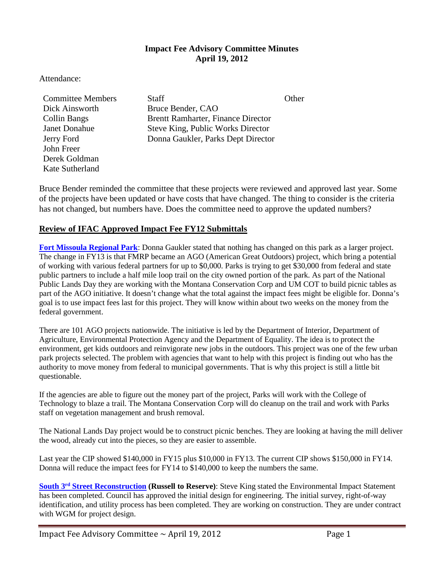### **Impact Fee Advisory Committee Minutes April 19, 2012**

Attendance:

Dick Ainsworth Bruce Bender, CAO John Freer Derek Goldman Kate Sutherland

**Committee Members Staff Staff Committee Members** Staff State Committee New Staff State Other Collin Bangs Brentt Ramharter, Finance Director Janet Donahue Steve King, Public Works Director Jerry Ford Donna Gaukler, Parks Dept Director

Bruce Bender reminded the committee that these projects were reviewed and approved last year. Some of the projects have been updated or have costs that have changed. The thing to consider is the criteria has not changed, but numbers have. Does the committee need to approve the updated numbers?

## **Review of IFAC Approved Impact Fee FY12 Submittals**

**[Fort Missoula Regional Park](ftp://ftp.ci.missoula.mt.us/Documents/Mayor/IFAC/2012/120419/CIP%20FY13/FtMslaRglPk.pdf)**: Donna Gaukler stated that nothing has changed on this park as a larger project. The change in FY13 is that FMRP became an AGO (American Great Outdoors) project, which bring a potential of working with various federal partners for up to \$0,000. Parks is trying to get \$30,000 from federal and state public partners to include a half mile loop trail on the city owned portion of the park. As part of the National Public Lands Day they are working with the Montana Conservation Corp and UM COT to build picnic tables as part of the AGO initiative. It doesn't change what the total against the impact fees might be eligible for. Donna's goal is to use impact fees last for this project. They will know within about two weeks on the money from the federal government.

There are 101 AGO projects nationwide. The initiative is led by the Department of Interior, Department of Agriculture, Environmental Protection Agency and the Department of Equality. The idea is to protect the environment, get kids outdoors and reinvigorate new jobs in the outdoors. This project was one of the few urban park projects selected. The problem with agencies that want to help with this project is finding out who has the authority to move money from federal to municipal governments. That is why this project is still a little bit questionable.

If the agencies are able to figure out the money part of the project, Parks will work with the College of Technology to blaze a trail. The Montana Conservation Corp will do cleanup on the trail and work with Parks staff on vegetation management and brush removal.

The National Lands Day project would be to construct picnic benches. They are looking at having the mill deliver the wood, already cut into the pieces, so they are easier to assemble.

Last year the CIP showed \$140,000 in FY15 plus \$10,000 in FY13. The current CIP shows \$150,000 in FY14. Donna will reduce the impact fees for FY14 to \$140,000 to keep the numbers the same.

**South 3rd [Street Reconstruction](ftp://ftp.ci.missoula.mt.us/Documents/Mayor/IFAC/2012/120419/CIP%20FY13/S3rdReconRussellToReserve.pdf) (Russell to Reserve)**: Steve King stated the Environmental Impact Statement has been completed. Council has approved the initial design for engineering. The initial survey, right-of-way identification, and utility process has been completed. They are working on construction. They are under contract with WGM for project design.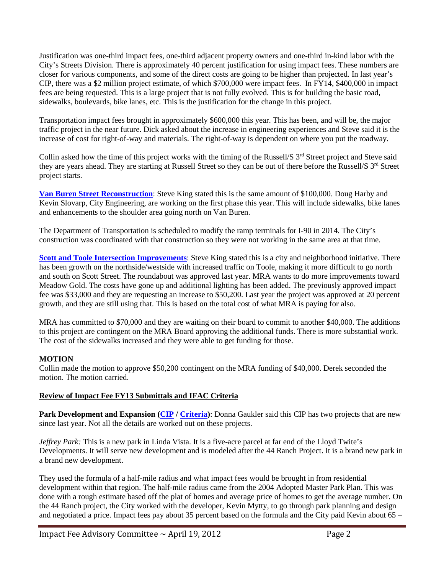Justification was one-third impact fees, one-third adjacent property owners and one-third in-kind labor with the City's Streets Division. There is approximately 40 percent justification for using impact fees. These numbers are closer for various components, and some of the direct costs are going to be higher than projected. In last year's CIP, there was a \$2 million project estimate, of which \$700,000 were impact fees. In FY14, \$400,000 in impact fees are being requested. This is a large project that is not fully evolved. This is for building the basic road, sidewalks, boulevards, bike lanes, etc. This is the justification for the change in this project.

Transportation impact fees brought in approximately \$600,000 this year. This has been, and will be, the major traffic project in the near future. Dick asked about the increase in engineering experiences and Steve said it is the increase of cost for right-of-way and materials. The right-of-way is dependent on where you put the roadway.

Collin asked how the time of this project works with the timing of the Russell/S  $3<sup>rd</sup>$  Street project and Steve said they are years ahead. They are starting at Russell Street so they can be out of there before the Russell/S 3<sup>rd</sup> Street project starts.

**[Van Buren Street Reconstruction](ftp://ftp.ci.missoula.mt.us/Documents/Mayor/IFAC/2012/120419/CIP%20FY13/VanBuren.pdf)**: Steve King stated this is the same amount of \$100,000. Doug Harby and Kevin Slovarp, City Engineering, are working on the first phase this year. This will include sidewalks, bike lanes and enhancements to the shoulder area going north on Van Buren.

The Department of Transportation is scheduled to modify the ramp terminals for I-90 in 2014. The City's construction was coordinated with that construction so they were not working in the same area at that time.

**[Scott and Toole Intersection Improvements](ftp://ftp.ci.missoula.mt.us/Documents/Mayor/IFAC/2012/120419/CIP%20FY13/Scott%20%20Toole%20Intersection%20Improvements.pdf)**: Steve King stated this is a city and neighborhood initiative. There has been growth on the northside/westside with increased traffic on Toole, making it more difficult to go north and south on Scott Street. The roundabout was approved last year. MRA wants to do more improvements toward Meadow Gold. The costs have gone up and additional lighting has been added. The previously approved impact fee was \$33,000 and they are requesting an increase to \$50,200. Last year the project was approved at 20 percent growth, and they are still using that. This is based on the total cost of what MRA is paying for also.

MRA has committed to \$70,000 and they are waiting on their board to commit to another \$40,000. The additions to this project are contingent on the MRA Board approving the additional funds. There is more substantial work. The cost of the sidewalks increased and they were able to get funding for those.

### **MOTION**

Collin made the motion to approve \$50,200 contingent on the MRA funding of \$40,000. Derek seconded the motion. The motion carried.

#### **Review of Impact Fee FY13 Submittals and IFAC Criteria**

**Park Development and Expansion [\(CIP](ftp://ftp.ci.missoula.mt.us/Documents/Mayor/IFAC/2012/120419/CIP%20FY13/ParkDvlpExp.pdf) / [Criteria\)](ftp://ftp.ci.missoula.mt.us/Documents/Mayor/IFAC/2012/120419/Criteria/ParkDevelopment.pdf)**: Donna Gaukler said this CIP has two projects that are new since last year. Not all the details are worked out on these projects.

*Jeffrey Park:* This is a new park in Linda Vista. It is a five-acre parcel at far end of the Lloyd Twite's Developments. It will serve new development and is modeled after the 44 Ranch Project. It is a brand new park in a brand new development.

They used the formula of a half-mile radius and what impact fees would be brought in from residential development within that region. The half-mile radius came from the 2004 Adopted Master Park Plan. This was done with a rough estimate based off the plat of homes and average price of homes to get the average number. On the 44 Ranch project, the City worked with the developer, Kevin Mytty, to go through park planning and design and negotiated a price. Impact fees pay about 35 percent based on the formula and the City paid Kevin about 65 –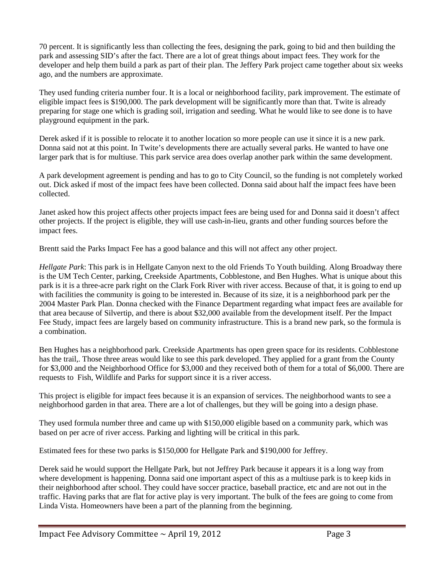70 percent. It is significantly less than collecting the fees, designing the park, going to bid and then building the park and assessing SID's after the fact. There are a lot of great things about impact fees. They work for the developer and help them build a park as part of their plan. The Jeffery Park project came together about six weeks ago, and the numbers are approximate.

They used funding criteria number four. It is a local or neighborhood facility, park improvement. The estimate of eligible impact fees is \$190,000. The park development will be significantly more than that. Twite is already preparing for stage one which is grading soil, irrigation and seeding. What he would like to see done is to have playground equipment in the park.

Derek asked if it is possible to relocate it to another location so more people can use it since it is a new park. Donna said not at this point. In Twite's developments there are actually several parks. He wanted to have one larger park that is for multiuse. This park service area does overlap another park within the same development.

A park development agreement is pending and has to go to City Council, so the funding is not completely worked out. Dick asked if most of the impact fees have been collected. Donna said about half the impact fees have been collected.

Janet asked how this project affects other projects impact fees are being used for and Donna said it doesn't affect other projects. If the project is eligible, they will use cash-in-lieu, grants and other funding sources before the impact fees.

Brentt said the Parks Impact Fee has a good balance and this will not affect any other project.

*Hellgate Park*: This park is in Hellgate Canyon next to the old Friends To Youth building. Along Broadway there is the UM Tech Center, parking, Creekside Apartments, Cobblestone, and Ben Hughes. What is unique about this park is it is a three-acre park right on the Clark Fork River with river access. Because of that, it is going to end up with facilities the community is going to be interested in. Because of its size, it is a neighborhood park per the 2004 Master Park Plan. Donna checked with the Finance Department regarding what impact fees are available for that area because of Silvertip, and there is about \$32,000 available from the development itself. Per the Impact Fee Study, impact fees are largely based on community infrastructure. This is a brand new park, so the formula is a combination.

Ben Hughes has a neighborhood park. Creekside Apartments has open green space for its residents. Cobblestone has the trail,. Those three areas would like to see this park developed. They applied for a grant from the County for \$3,000 and the Neighborhood Office for \$3,000 and they received both of them for a total of \$6,000. There are requests to Fish, Wildlife and Parks for support since it is a river access.

This project is eligible for impact fees because it is an expansion of services. The neighborhood wants to see a neighborhood garden in that area. There are a lot of challenges, but they will be going into a design phase.

They used formula number three and came up with \$150,000 eligible based on a community park, which was based on per acre of river access. Parking and lighting will be critical in this park.

Estimated fees for these two parks is \$150,000 for Hellgate Park and \$190,000 for Jeffrey.

Derek said he would support the Hellgate Park, but not Jeffrey Park because it appears it is a long way from where development is happening. Donna said one important aspect of this as a multiuse park is to keep kids in their neighborhood after school. They could have soccer practice, baseball practice, etc and are not out in the traffic. Having parks that are flat for active play is very important. The bulk of the fees are going to come from Linda Vista. Homeowners have been a part of the planning from the beginning.